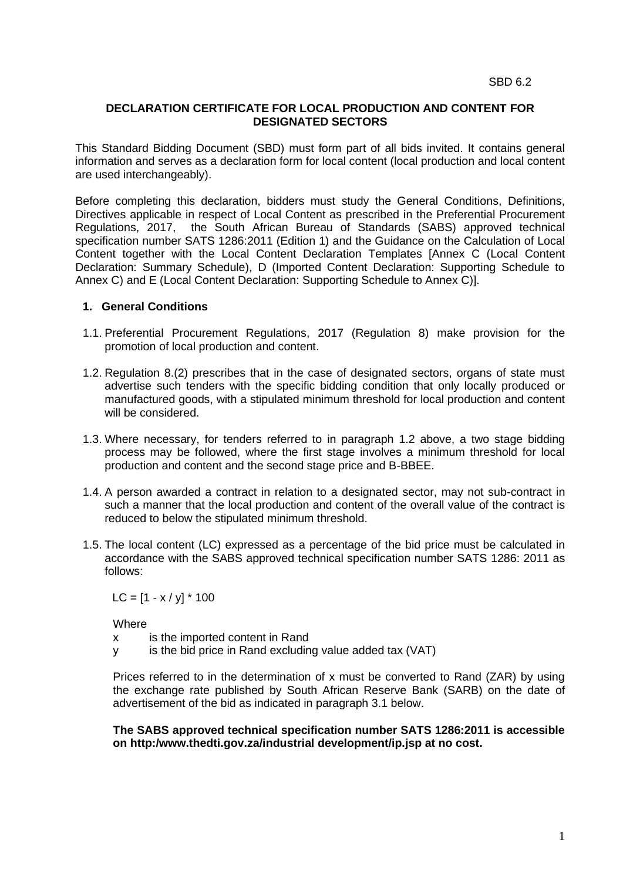## **DECLARATION CERTIFICATE FOR LOCAL PRODUCTION AND CONTENT FOR DESIGNATED SECTORS**

This Standard Bidding Document (SBD) must form part of all bids invited. It contains general information and serves as a declaration form for local content (local production and local content are used interchangeably).

Before completing this declaration, bidders must study the General Conditions, Definitions, Directives applicable in respect of Local Content as prescribed in the Preferential Procurement Regulations, 2017, the South African Bureau of Standards (SABS) approved technical specification number SATS 1286:2011 (Edition 1) and the Guidance on the Calculation of Local Content together with the Local Content Declaration Templates [Annex C (Local Content Declaration: Summary Schedule), D (Imported Content Declaration: Supporting Schedule to Annex C) and E (Local Content Declaration: Supporting Schedule to Annex C)].

## **1. General Conditions**

- 1.1. Preferential Procurement Regulations, 2017 (Regulation 8) make provision for the promotion of local production and content.
- 1.2. Regulation 8.(2) prescribes that in the case of designated sectors, organs of state must advertise such tenders with the specific bidding condition that only locally produced or manufactured goods, with a stipulated minimum threshold for local production and content will be considered.
- 1.3. Where necessary, for tenders referred to in paragraph 1.2 above, a two stage bidding process may be followed, where the first stage involves a minimum threshold for local production and content and the second stage price and B-BBEE.
- 1.4. A person awarded a contract in relation to a designated sector, may not sub-contract in such a manner that the local production and content of the overall value of the contract is reduced to below the stipulated minimum threshold.
- 1.5. The local content (LC) expressed as a percentage of the bid price must be calculated in accordance with the SABS approved technical specification number SATS 1286: 2011 as follows:

 $LC = [1 - x / y] * 100$ 

Where

x is the imported content in Rand

y is the bid price in Rand excluding value added tax (VAT)

Prices referred to in the determination of x must be converted to Rand (ZAR) by using the exchange rate published by South African Reserve Bank (SARB) on the date of advertisement of the bid as indicated in paragraph 3.1 below.

**The SABS approved technical specification number SATS 1286:2011 is accessible on http:/www.thedti.gov.za/industrial development/ip.jsp at no cost.**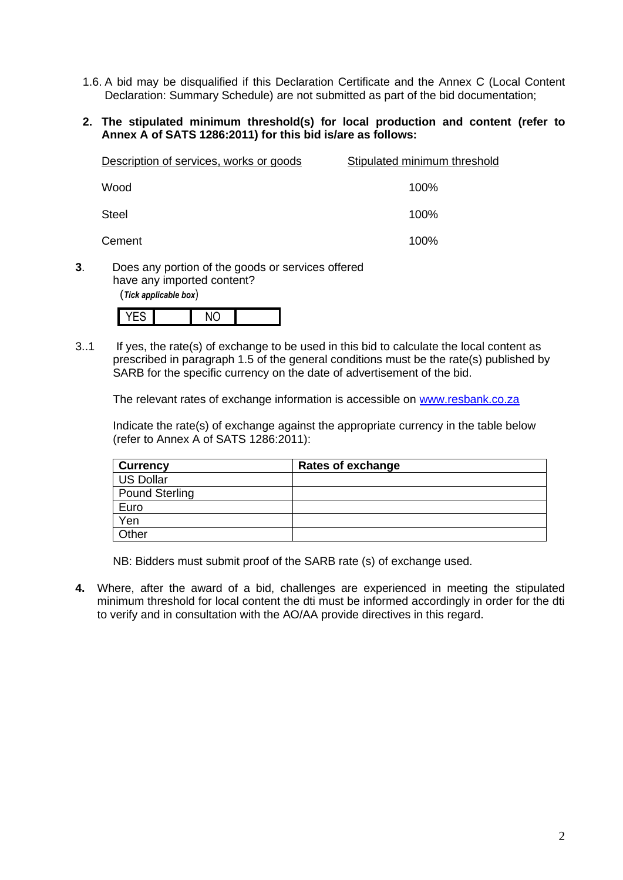- 1.6. A bid may be disqualified if this Declaration Certificate and the Annex C (Local Content Declaration: Summary Schedule) are not submitted as part of the bid documentation;
- **2. The stipulated minimum threshold(s) for local production and content (refer to Annex A of SATS 1286:2011) for this bid is/are as follows:**

| Description of services, works or goods | Stipulated minimum threshold |
|-----------------------------------------|------------------------------|
| Wood                                    | 100%                         |
| <b>Steel</b>                            | 100%                         |
| Cement                                  | 100%                         |

**3**. Does any portion of the goods or services offered have any imported content?

(*Tick applicable box*)

|--|

3..1 If yes, the rate(s) of exchange to be used in this bid to calculate the local content as prescribed in paragraph 1.5 of the general conditions must be the rate(s) published by SARB for the specific currency on the date of advertisement of the bid.

The relevant rates of exchange information is accessible on [www.resbank.co.za](http://www.resbank.co.za/)

Indicate the rate(s) of exchange against the appropriate currency in the table below (refer to Annex A of SATS 1286:2011):

| <b>Currency</b>  | <b>Rates of exchange</b> |
|------------------|--------------------------|
| <b>US Dollar</b> |                          |
| Pound Sterling   |                          |
| Euro             |                          |
| Yen              |                          |
| Other            |                          |

NB: Bidders must submit proof of the SARB rate (s) of exchange used.

**4.** Where, after the award of a bid, challenges are experienced in meeting the stipulated minimum threshold for local content the dti must be informed accordingly in order for the dti to verify and in consultation with the AO/AA provide directives in this regard.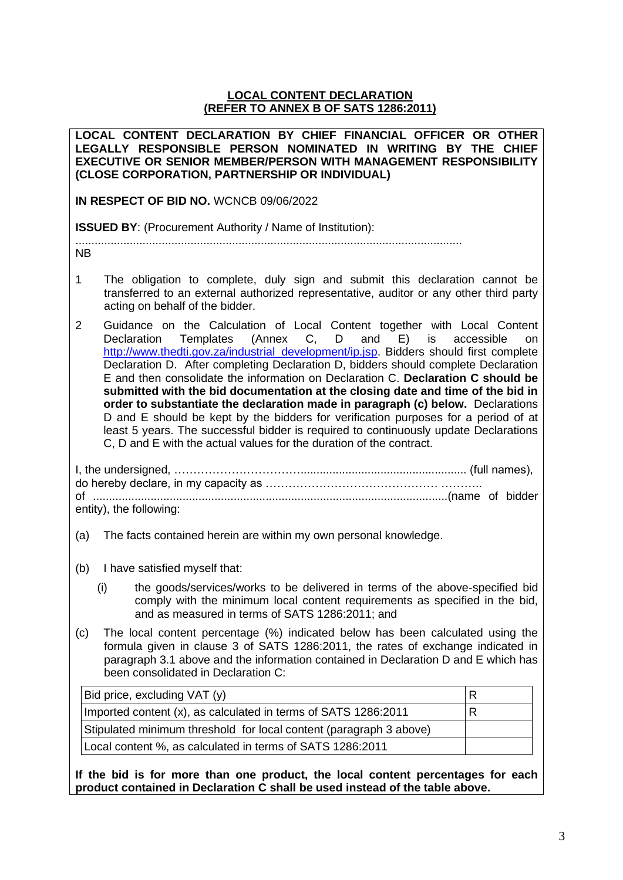## **LOCAL CONTENT DECLARATION (REFER TO ANNEX B OF SATS 1286:2011)**

**LOCAL CONTENT DECLARATION BY CHIEF FINANCIAL OFFICER OR OTHER LEGALLY RESPONSIBLE PERSON NOMINATED IN WRITING BY THE CHIEF EXECUTIVE OR SENIOR MEMBER/PERSON WITH MANAGEMENT RESPONSIBILITY (CLOSE CORPORATION, PARTNERSHIP OR INDIVIDUAL)** 

**IN RESPECT OF BID NO.** WCNCB 09/06/2022

**ISSUED BY**: (Procurement Authority / Name of Institution):

.........................................................................................................................

NB

- 1 The obligation to complete, duly sign and submit this declaration cannot be transferred to an external authorized representative, auditor or any other third party acting on behalf of the bidder.
- 2 Guidance on the Calculation of Local Content together with Local Content Declaration Templates (Annex C, D and E) is accessible on [http://www.thedti.gov.za/industrial\\_development/ip.jsp.](http://www.thedti.gov.za/industrial_development/ip.jsp) Bidders should first complete Declaration D. After completing Declaration D, bidders should complete Declaration E and then consolidate the information on Declaration C. **Declaration C should be submitted with the bid documentation at the closing date and time of the bid in order to substantiate the declaration made in paragraph (c) below.** Declarations D and E should be kept by the bidders for verification purposes for a period of at least 5 years. The successful bidder is required to continuously update Declarations C, D and E with the actual values for the duration of the contract.

| entity), the following: |  |
|-------------------------|--|

- (a) The facts contained herein are within my own personal knowledge.
- (b) I have satisfied myself that:
	- (i) the goods/services/works to be delivered in terms of the above-specified bid comply with the minimum local content requirements as specified in the bid, and as measured in terms of SATS 1286:2011; and
- (c) The local content percentage (%) indicated below has been calculated using the formula given in clause 3 of SATS 1286:2011, the rates of exchange indicated in paragraph 3.1 above and the information contained in Declaration D and E which has been consolidated in Declaration C:

| Bid price, excluding VAT (y)                                       |  |
|--------------------------------------------------------------------|--|
| Imported content (x), as calculated in terms of SATS 1286:2011     |  |
| Stipulated minimum threshold for local content (paragraph 3 above) |  |
| Local content %, as calculated in terms of SATS 1286:2011          |  |

**If the bid is for more than one product, the local content percentages for each product contained in Declaration C shall be used instead of the table above.**